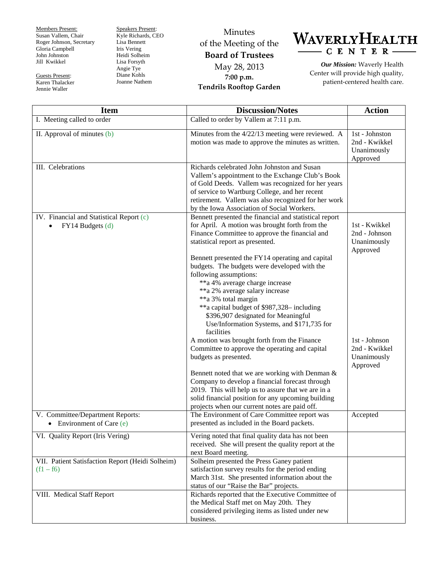Members Present: Susan Vallem, Chair Roger Johnson, Secretary Gloria Campbell John Johnston Jill Kwikkel

Guests Present: Karen Thalacker Jennie Waller

Speakers Present: Kyle Richards, CEO Lisa Bennett Iris Vering Heidi Solheim Lisa Forsyth Angie Tye Diane Kohls Joanne Nathem

Minutes of the Meeting of the **Board of Trustees** May 28, 2013 **7:00 p.m. Tendrils Rooftop Garden**



*Our Mission:* Waverly Health Center will provide high quality, patient-centered health care.

| <b>Item</b>                                                     | <b>Discussion/Notes</b>                                                                                                                                                                                                                                                                                                                                                                                                                                                                                                                             | <b>Action</b>                                              |
|-----------------------------------------------------------------|-----------------------------------------------------------------------------------------------------------------------------------------------------------------------------------------------------------------------------------------------------------------------------------------------------------------------------------------------------------------------------------------------------------------------------------------------------------------------------------------------------------------------------------------------------|------------------------------------------------------------|
| I. Meeting called to order                                      | Called to order by Vallem at 7:11 p.m.                                                                                                                                                                                                                                                                                                                                                                                                                                                                                                              |                                                            |
| II. Approval of minutes (b)                                     | Minutes from the 4/22/13 meeting were reviewed. A<br>motion was made to approve the minutes as written.                                                                                                                                                                                                                                                                                                                                                                                                                                             | 1st - Johnston<br>2nd - Kwikkel<br>Unanimously<br>Approved |
| III. Celebrations                                               | Richards celebrated John Johnston and Susan<br>Vallem's appointment to the Exchange Club's Book<br>of Gold Deeds. Vallem was recognized for her years<br>of service to Wartburg College, and her recent<br>retirement. Vallem was also recognized for her work<br>by the Iowa Association of Social Workers.                                                                                                                                                                                                                                        |                                                            |
| IV. Financial and Statistical Report (c)<br>FY14 Budgets (d)    | Bennett presented the financial and statistical report<br>for April. A motion was brought forth from the<br>Finance Committee to approve the financial and<br>statistical report as presented.                                                                                                                                                                                                                                                                                                                                                      | 1st - Kwikkel<br>2nd - Johnson<br>Unanimously<br>Approved  |
|                                                                 | Bennett presented the FY14 operating and capital<br>budgets. The budgets were developed with the<br>following assumptions:<br>**a 4% average charge increase<br>**a 2% average salary increase<br>**a 3% total margin<br>**a capital budget of \$987,328- including<br>\$396,907 designated for Meaningful<br>Use/Information Systems, and \$171,735 for<br>facilities<br>A motion was brought forth from the Finance<br>Committee to approve the operating and capital<br>budgets as presented.<br>Bennett noted that we are working with Denman & | 1st - Johnson<br>2nd - Kwikkel<br>Unanimously<br>Approved  |
|                                                                 | Company to develop a financial forecast through<br>2019. This will help us to assure that we are in a<br>solid financial position for any upcoming building<br>projects when our current notes are paid off.                                                                                                                                                                                                                                                                                                                                        |                                                            |
| V. Committee/Department Reports:<br>• Environment of Care $(e)$ | The Environment of Care Committee report was<br>presented as included in the Board packets.                                                                                                                                                                                                                                                                                                                                                                                                                                                         | Accepted                                                   |
| VI. Quality Report (Iris Vering)                                | Vering noted that final quality data has not been<br>received. She will present the quality report at the<br>next Board meeting.                                                                                                                                                                                                                                                                                                                                                                                                                    |                                                            |
| VII. Patient Satisfaction Report (Heidi Solheim)<br>$(f1 - f6)$ | Solheim presented the Press Ganey patient<br>satisfaction survey results for the period ending<br>March 31st. She presented information about the<br>status of our "Raise the Bar" projects.                                                                                                                                                                                                                                                                                                                                                        |                                                            |
| VIII. Medical Staff Report                                      | Richards reported that the Executive Committee of<br>the Medical Staff met on May 20th. They<br>considered privileging items as listed under new<br>business.                                                                                                                                                                                                                                                                                                                                                                                       |                                                            |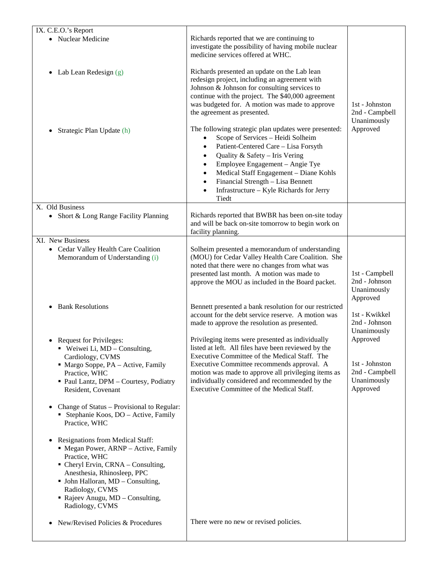| IX. C.E.O.'s Report                                                                                                                                                                                                                                                         |                                                                                                                                                                                                                                                                                                                                                                      |                                                                         |
|-----------------------------------------------------------------------------------------------------------------------------------------------------------------------------------------------------------------------------------------------------------------------------|----------------------------------------------------------------------------------------------------------------------------------------------------------------------------------------------------------------------------------------------------------------------------------------------------------------------------------------------------------------------|-------------------------------------------------------------------------|
| • Nuclear Medicine                                                                                                                                                                                                                                                          | Richards reported that we are continuing to<br>investigate the possibility of having mobile nuclear<br>medicine services offered at WHC.                                                                                                                                                                                                                             |                                                                         |
| Lab Lean Redesign (g)<br>$\bullet$                                                                                                                                                                                                                                          | Richards presented an update on the Lab lean<br>redesign project, including an agreement with<br>Johnson & Johnson for consulting services to<br>continue with the project. The \$40,000 agreement<br>was budgeted for. A motion was made to approve<br>the agreement as presented.                                                                                  | 1st - Johnston<br>2nd - Campbell<br>Unanimously<br>Approved             |
| Strategic Plan Update (h)                                                                                                                                                                                                                                                   | The following strategic plan updates were presented:<br>Scope of Services - Heidi Solheim<br>Patient-Centered Care - Lisa Forsyth<br>Quality & Safety - Iris Vering<br>Employee Engagement - Angie Tye<br>Medical Staff Engagement - Diane Kohls<br>Financial Strength - Lisa Bennett<br>$\bullet$<br>Infrastructure - Kyle Richards for Jerry<br>$\bullet$<br>Tiedt |                                                                         |
| X. Old Business<br>Short & Long Range Facility Planning<br>$\bullet$                                                                                                                                                                                                        | Richards reported that BWBR has been on-site today<br>and will be back on-site tomorrow to begin work on<br>facility planning.                                                                                                                                                                                                                                       |                                                                         |
| XI. New Business                                                                                                                                                                                                                                                            |                                                                                                                                                                                                                                                                                                                                                                      |                                                                         |
| • Cedar Valley Health Care Coalition<br>Memorandum of Understanding (i)                                                                                                                                                                                                     | Solheim presented a memorandum of understanding<br>(MOU) for Cedar Valley Health Care Coalition. She<br>noted that there were no changes from what was<br>presented last month. A motion was made to<br>approve the MOU as included in the Board packet.                                                                                                             | 1st - Campbell<br>2nd - Johnson<br>Unanimously<br>Approved              |
| <b>Bank Resolutions</b>                                                                                                                                                                                                                                                     | Bennett presented a bank resolution for our restricted<br>account for the debt service reserve. A motion was<br>made to approve the resolution as presented.                                                                                                                                                                                                         | 1st - Kwikkel<br>2nd - Johnson<br>Unanimously                           |
| <b>Request for Privileges:</b><br>٠<br>Weiwei Li, $MD -$ Consulting,<br>Cardiology, CVMS<br>· Margo Soppe, PA - Active, Family<br>Practice, WHC<br>· Paul Lantz, DPM - Courtesy, Podiatry<br>Resident, Covenant                                                             | Privileging items were presented as individually<br>listed at left. All files have been reviewed by the<br>Executive Committee of the Medical Staff. The<br>Executive Committee recommends approval. A<br>motion was made to approve all privileging items as<br>individually considered and recommended by the<br>Executive Committee of the Medical Staff.         | Approved<br>1st - Johnston<br>2nd - Campbell<br>Unanimously<br>Approved |
| Change of Status – Provisional to Regular:<br>Stephanie Koos, DO - Active, Family<br>Practice, WHC                                                                                                                                                                          |                                                                                                                                                                                                                                                                                                                                                                      |                                                                         |
| Resignations from Medical Staff:<br>• Megan Power, ARNP - Active, Family<br>Practice, WHC<br>• Cheryl Ervin, CRNA – Consulting,<br>Anesthesia, Rhinosleep, PPC<br>• John Halloran, MD - Consulting,<br>Radiology, CVMS<br>Rajeev Anugu, MD - Consulting,<br>Radiology, CVMS |                                                                                                                                                                                                                                                                                                                                                                      |                                                                         |
| New/Revised Policies & Procedures                                                                                                                                                                                                                                           | There were no new or revised policies.                                                                                                                                                                                                                                                                                                                               |                                                                         |